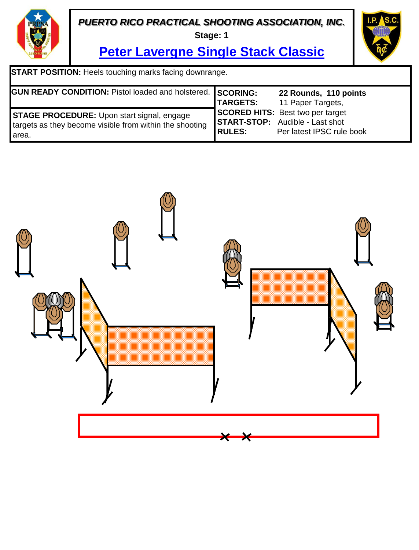**Stage: 1**



**Peter Lavergne Single Stack Classic**

**START POSITION:** Heels touching marks facing downrange.

| <b>GUN READY CONDITION: Pistol loaded and holstered.</b> SCORING: |                 | 22 Rounds, 110 points                   |
|-------------------------------------------------------------------|-----------------|-----------------------------------------|
|                                                                   | <b>TARGETS:</b> | 11 Paper Targets,                       |
| <b>STAGE PROCEDURE:</b> Upon start signal, engage                 |                 | <b>SCORED HITS:</b> Best two per target |
| targets as they become visible from within the shooting           |                 | <b>START-STOP:</b> Audible - Last shot  |
| l area.                                                           | <b>RULES:</b>   | Per latest IPSC rule book               |

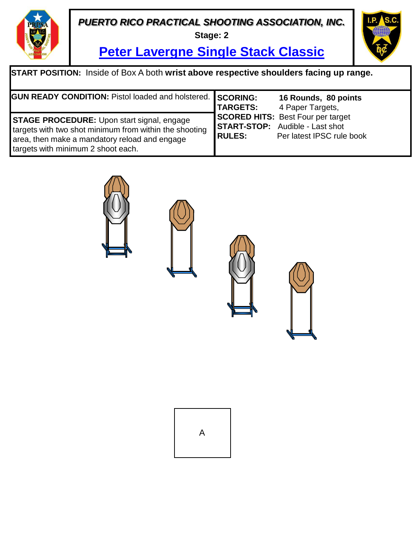**Stage: 2**



**Peter Lavergne Single Stack Classic**

| <b>START POSITION:</b> Inside of Box A both wrist above respective shoulders facing up range.                                                                                                      |                 |                                                                                                                 |  |  |
|----------------------------------------------------------------------------------------------------------------------------------------------------------------------------------------------------|-----------------|-----------------------------------------------------------------------------------------------------------------|--|--|
| GUN READY CONDITION: Pistol loaded and holstered. SCORING:                                                                                                                                         | <b>TARGETS:</b> | 16 Rounds, 80 points<br>4 Paper Targets,                                                                        |  |  |
| <b>STAGE PROCEDURE:</b> Upon start signal, engage<br>targets with two shot minimum from within the shooting<br>area, then make a mandatory reload and engage<br>targets with minimum 2 shoot each. | <b>RULES:</b>   | <b>SCORED HITS: Best Four per target</b><br><b>START-STOP:</b> Audible - Last shot<br>Per latest IPSC rule book |  |  |



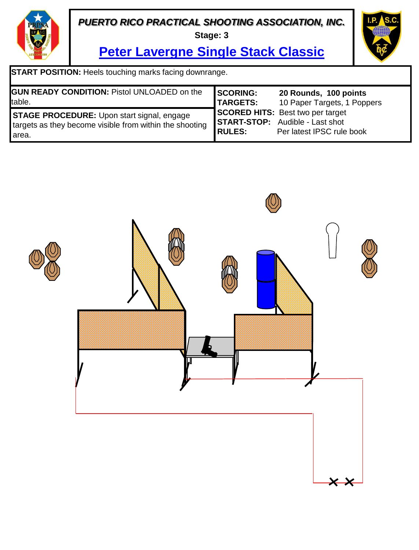**Stage: 3**



**Peter Lavergne Single Stack Classic**

**START POSITION:** Heels touching marks facing downrange.

| <b>GUN READY CONDITION: Pistol UNLOADED on the</b>                                                                      | SCORING:        | 20 Rounds, 100 points                                                                                          |
|-------------------------------------------------------------------------------------------------------------------------|-----------------|----------------------------------------------------------------------------------------------------------------|
| table.                                                                                                                  | <b>TARGETS:</b> | 10 Paper Targets, 1 Poppers                                                                                    |
| <b>STAGE PROCEDURE:</b> Upon start signal, engage<br>targets as they become visible from within the shooting<br>l area. | RULES:          | <b>SCORED HITS:</b> Best two per target<br><b>START-STOP:</b> Audible - Last shot<br>Per latest IPSC rule book |